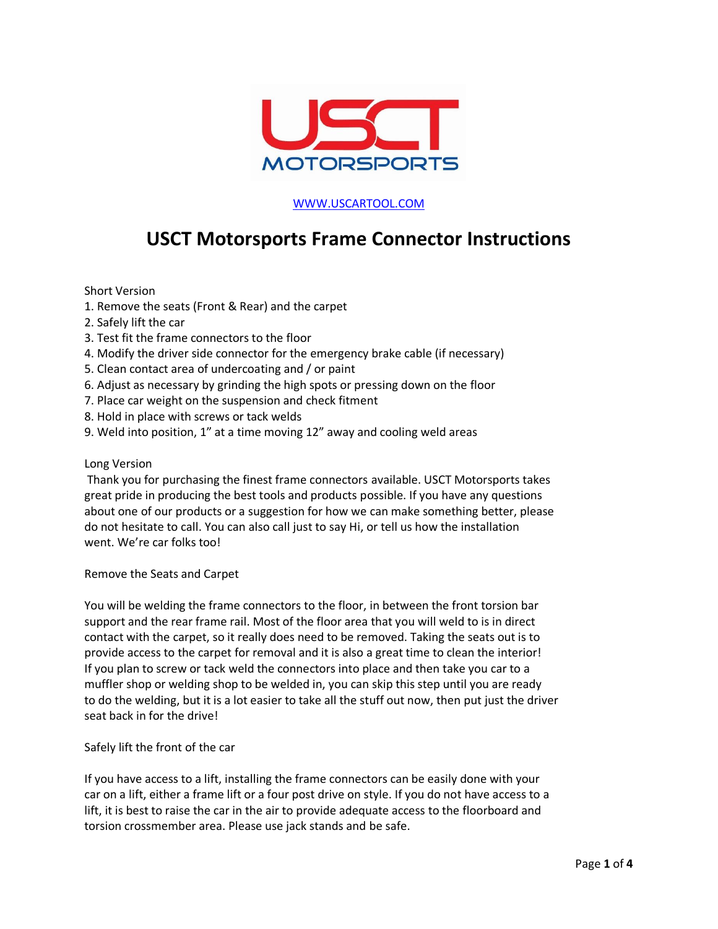

## [WWW.USCARTOOL.COM](http://www.uscartool.com/)

## **USCT Motorsports Frame Connector Instructions**

Short Version

- 1. Remove the seats (Front & Rear) and the carpet
- 2. Safely lift the car
- 3. Test fit the frame connectors to the floor
- 4. Modify the driver side connector for the emergency brake cable (if necessary)
- 5. Clean contact area of undercoating and / or paint
- 6. Adjust as necessary by grinding the high spots or pressing down on the floor
- 7. Place car weight on the suspension and check fitment
- 8. Hold in place with screws or tack welds
- 9. Weld into position, 1" at a time moving 12" away and cooling weld areas

## Long Version

Thank you for purchasing the finest frame connectors available. USCT Motorsports takes great pride in producing the best tools and products possible. If you have any questions about one of our products or a suggestion for how we can make something better, please do not hesitate to call. You can also call just to say Hi, or tell us how the installation went. We're car folks too!

Remove the Seats and Carpet

You will be welding the frame connectors to the floor, in between the front torsion bar support and the rear frame rail. Most of the floor area that you will weld to is in direct contact with the carpet, so it really does need to be removed. Taking the seats out is to provide access to the carpet for removal and it is also a great time to clean the interior! If you plan to screw or tack weld the connectors into place and then take you car to a muffler shop or welding shop to be welded in, you can skip this step until you are ready to do the welding, but it is a lot easier to take all the stuff out now, then put just the driver seat back in for the drive!

Safely lift the front of the car

If you have access to a lift, installing the frame connectors can be easily done with your car on a lift, either a frame lift or a four post drive on style. If you do not have access to a lift, it is best to raise the car in the air to provide adequate access to the floorboard and torsion crossmember area. Please use jack stands and be safe.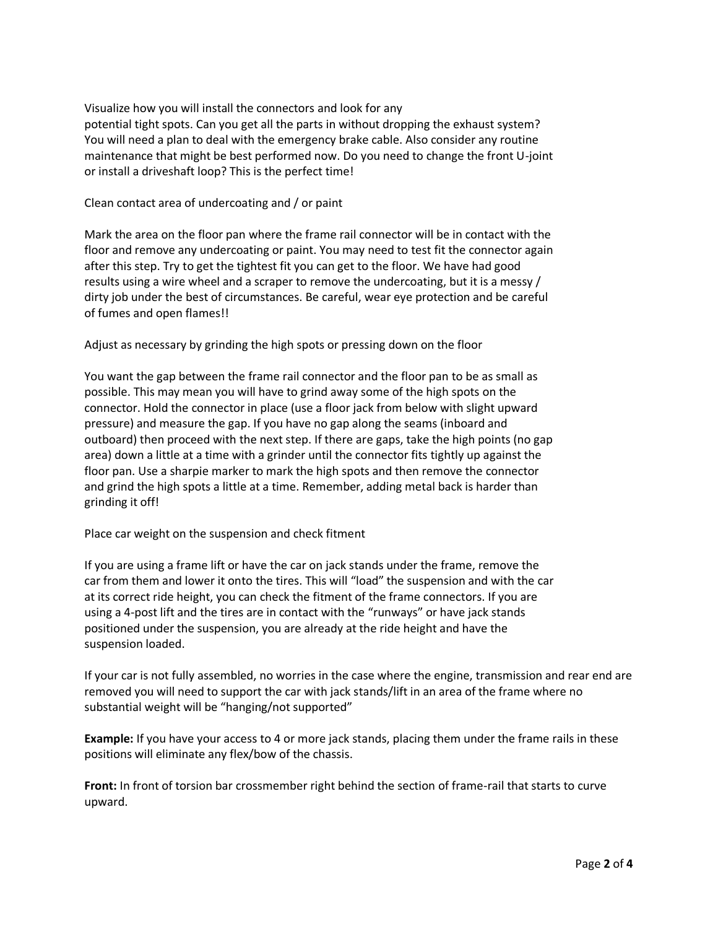Visualize how you will install the connectors and look for any potential tight spots. Can you get all the parts in without dropping the exhaust system? You will need a plan to deal with the emergency brake cable. Also consider any routine maintenance that might be best performed now. Do you need to change the front U-joint or install a driveshaft loop? This is the perfect time!

Clean contact area of undercoating and / or paint

Mark the area on the floor pan where the frame rail connector will be in contact with the floor and remove any undercoating or paint. You may need to test fit the connector again after this step. Try to get the tightest fit you can get to the floor. We have had good results using a wire wheel and a scraper to remove the undercoating, but it is a messy / dirty job under the best of circumstances. Be careful, wear eye protection and be careful of fumes and open flames!!

Adjust as necessary by grinding the high spots or pressing down on the floor

You want the gap between the frame rail connector and the floor pan to be as small as possible. This may mean you will have to grind away some of the high spots on the connector. Hold the connector in place (use a floor jack from below with slight upward pressure) and measure the gap. If you have no gap along the seams (inboard and outboard) then proceed with the next step. If there are gaps, take the high points (no gap area) down a little at a time with a grinder until the connector fits tightly up against the floor pan. Use a sharpie marker to mark the high spots and then remove the connector and grind the high spots a little at a time. Remember, adding metal back is harder than grinding it off!

Place car weight on the suspension and check fitment

If you are using a frame lift or have the car on jack stands under the frame, remove the car from them and lower it onto the tires. This will "load" the suspension and with the car at its correct ride height, you can check the fitment of the frame connectors. If you are using a 4-post lift and the tires are in contact with the "runways" or have jack stands positioned under the suspension, you are already at the ride height and have the suspension loaded.

If your car is not fully assembled, no worries in the case where the engine, transmission and rear end are removed you will need to support the car with jack stands/lift in an area of the frame where no substantial weight will be "hanging/not supported"

**Example:** If you have your access to 4 or more jack stands, placing them under the frame rails in these positions will eliminate any flex/bow of the chassis.

**Front:** In front of torsion bar crossmember right behind the section of frame-rail that starts to curve upward.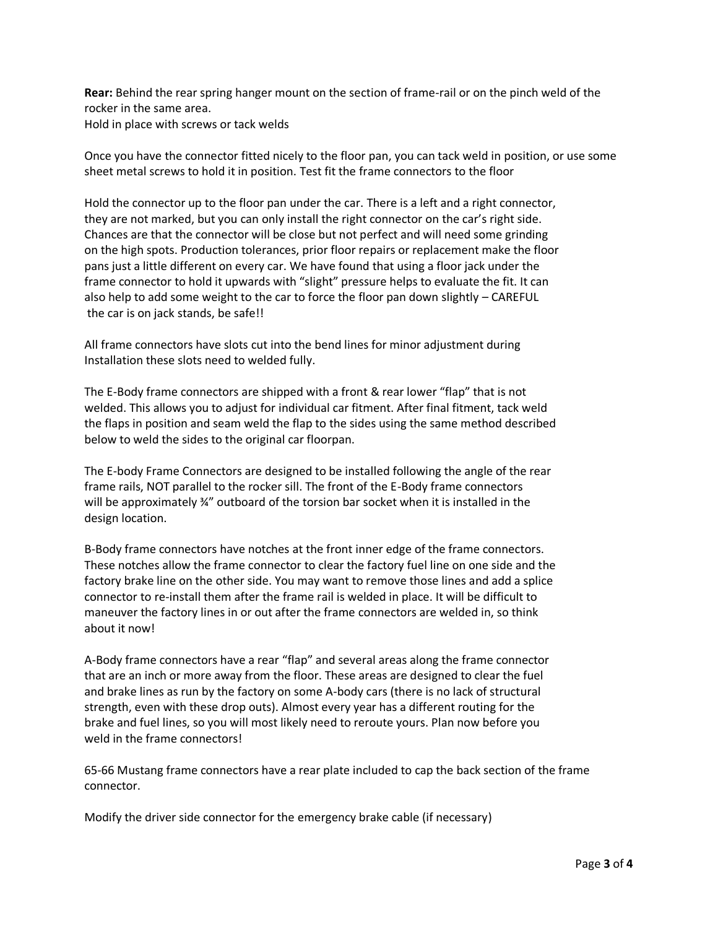**Rear:** Behind the rear spring hanger mount on the section of frame-rail or on the pinch weld of the rocker in the same area. Hold in place with screws or tack welds

Once you have the connector fitted nicely to the floor pan, you can tack weld in position, or use some sheet metal screws to hold it in position. Test fit the frame connectors to the floor

Hold the connector up to the floor pan under the car. There is a left and a right connector, they are not marked, but you can only install the right connector on the car's right side. Chances are that the connector will be close but not perfect and will need some grinding on the high spots. Production tolerances, prior floor repairs or replacement make the floor pans just a little different on every car. We have found that using a floor jack under the frame connector to hold it upwards with "slight" pressure helps to evaluate the fit. It can also help to add some weight to the car to force the floor pan down slightly – CAREFUL the car is on jack stands, be safe!!

All frame connectors have slots cut into the bend lines for minor adjustment during Installation these slots need to welded fully.

The E-Body frame connectors are shipped with a front & rear lower "flap" that is not welded. This allows you to adjust for individual car fitment. After final fitment, tack weld the flaps in position and seam weld the flap to the sides using the same method described below to weld the sides to the original car floorpan.

The E-body Frame Connectors are designed to be installed following the angle of the rear frame rails, NOT parallel to the rocker sill. The front of the E-Body frame connectors will be approximately 34" outboard of the torsion bar socket when it is installed in the design location.

B-Body frame connectors have notches at the front inner edge of the frame connectors. These notches allow the frame connector to clear the factory fuel line on one side and the factory brake line on the other side. You may want to remove those lines and add a splice connector to re-install them after the frame rail is welded in place. It will be difficult to maneuver the factory lines in or out after the frame connectors are welded in, so think about it now!

A-Body frame connectors have a rear "flap" and several areas along the frame connector that are an inch or more away from the floor. These areas are designed to clear the fuel and brake lines as run by the factory on some A-body cars (there is no lack of structural strength, even with these drop outs). Almost every year has a different routing for the brake and fuel lines, so you will most likely need to reroute yours. Plan now before you weld in the frame connectors!

65-66 Mustang frame connectors have a rear plate included to cap the back section of the frame connector.

Modify the driver side connector for the emergency brake cable (if necessary)